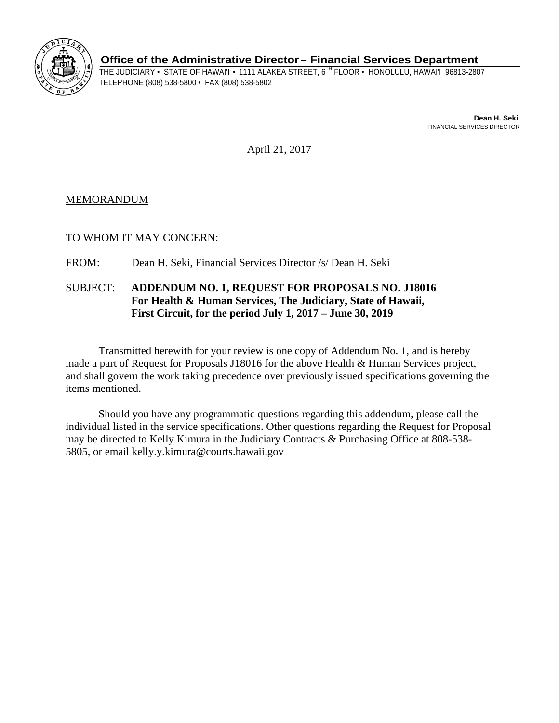

**Office of the Administrative Director– Financial Services Department** 

THE JUDICIARY • STATE OF HAWAI'I • 1111 ALAKEA STREET, 6<sup>TH</sup> FLOOR • HONOLULU, HAWAI'I 96813-2807<br>TELEPHONE (808) 538-5800 • FAX (808) 538-5802

**Dean H. Seki**  FINANCIAL SERVICES DIRECTOR

April 21, 2017

## MEMORANDUM

TO WHOM IT MAY CONCERN:

FROM: Dean H. Seki, Financial Services Director /s/ Dean H. Seki

## SUBJECT: **ADDENDUM NO. 1, REQUEST FOR PROPOSALS NO. J18016 For Health & Human Services, The Judiciary, State of Hawaii, First Circuit, for the period July 1, 2017 – June 30, 2019**

Transmitted herewith for your review is one copy of Addendum No. 1, and is hereby made a part of Request for Proposals J18016 for the above Health & Human Services project, and shall govern the work taking precedence over previously issued specifications governing the items mentioned.

Should you have any programmatic questions regarding this addendum, please call the individual listed in the service specifications. Other questions regarding the Request for Proposal may be directed to Kelly Kimura in the Judiciary Contracts & Purchasing Office at 808-538- 5805, or email kelly.y.kimura@courts.hawaii.gov